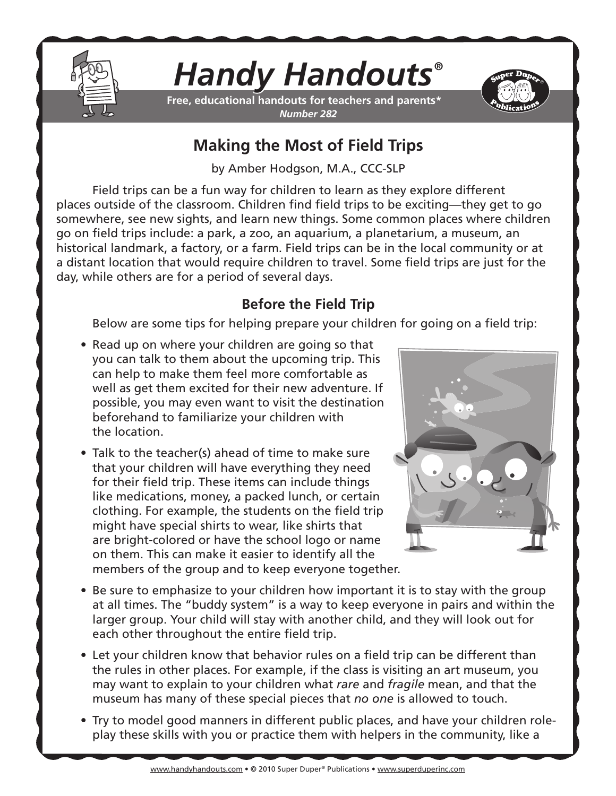

# *Handy Handouts®*

**Free, educational handouts for teachers and parents\*** *Number 282*



## **Making the Most of Field Trips**

by Amber Hodgson, M.A., CCC-SLP

Field trips can be a fun way for children to learn as they explore different places outside of the classroom. Children find field trips to be exciting—they get to go somewhere, see new sights, and learn new things. Some common places where children go on field trips include: a park, a zoo, an aquarium, a planetarium, a museum, an historical landmark, a factory, or a farm. Field trips can be in the local community or at a distant location that would require children to travel. Some field trips are just for the day, while others are for a period of several days.

## **Before the Field Trip**

Below are some tips for helping prepare your children for going on a field trip:

- Read up on where your children are going so that you can talk to them about the upcoming trip. This can help to make them feel more comfortable as well as get them excited for their new adventure. If possible, you may even want to visit the destination beforehand to familiarize your children with the location.
- Talk to the teacher(s) ahead of time to make sure that your children will have everything they need for their field trip. These items can include things like medications, money, a packed lunch, or certain clothing. For example, the students on the field trip might have special shirts to wear, like shirts that are bright-colored or have the school logo or name on them. This can make it easier to identify all the members of the group and to keep everyone together.



- Be sure to emphasize to your children how important it is to stay with the group at all times. The "buddy system" is a way to keep everyone in pairs and within the larger group. Your child will stay with another child, and they will look out for each other throughout the entire field trip.
- Let your children know that behavior rules on a field trip can be different than the rules in other places. For example, if the class is visiting an art museum, you may want to explain to your children what *rare* and *fragile* mean, and that the museum has many of these special pieces that *no one* is allowed to touch.
- Try to model good manners in different public places, and have your children roleplay these skills with you or practice them with helpers in the community, like a